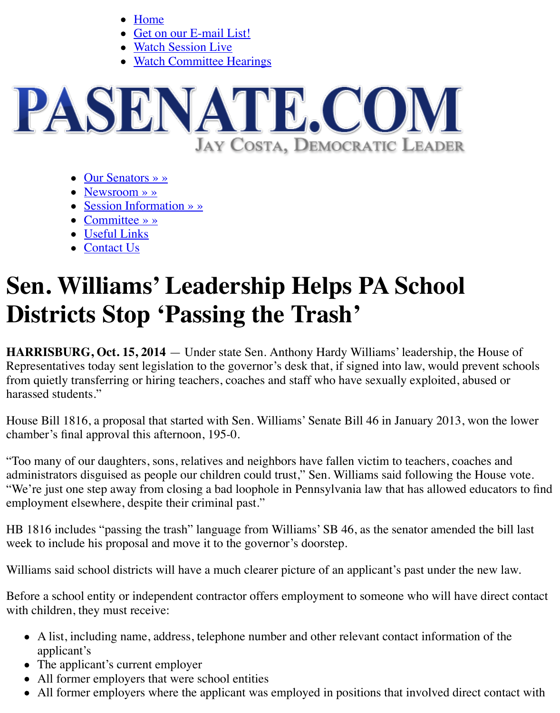

- Our Senators » »
- Newsroom » »
- [Session Information » »](http://www.pasenate.com/)
- Committee » »
- Useful Links
- Contact Us

## **Sen. W[illiams'](http://www.pasenate.com/newsroom/releases/) [L](http://www.pasenate.com/our-senators/)eadership Helps PA School Distric[ts Stop](http://www.pasenate.com/committee-news-2013-2014/) ['Pass](http://www.pasenate.com/session-information/)ing the Trash'**

**HARRISBUR[G, Oct. 15,](http://www.pasenate.com/contact-us/) 2014** — Under state Sen. Anthony Hardy Williams' leadership, the Representatives today sent legislation to the governor's desk that, if signed into law, would pre from quietly transferring or hiring teachers, coaches and staff who have sexually exploited, abused or harassed students."

House Bill 1816, a proposal that started with Sen. Williams' Senate Bill 46 in January 2013, w chamber's final approval this afternoon, 195-0.

"Too many of our daughters, sons, relatives and neighbors have fallen victim to teachers, coach administrators disguised as people our children could trust," Sen. Williams said following the "We're just one step away from closing a bad loophole in Pennsylvania law that has allowed e employment elsewhere, despite their criminal past."

HB 1816 includes "passing the trash" language from Williams' SB 46, as the senator amended week to include his proposal and move it to the governor's doorstep.

Williams said school districts will have a much clearer picture of an applicant's past under the

Before a school entity or independent contractor offers employment to someone who will have with children, they must receive:

- A list, including name, address, telephone number and other relevant contact information applicant's
- The applicant's current employer
- All former employers that were school entities
- All former employers where the applicant was employed in positions that involved direct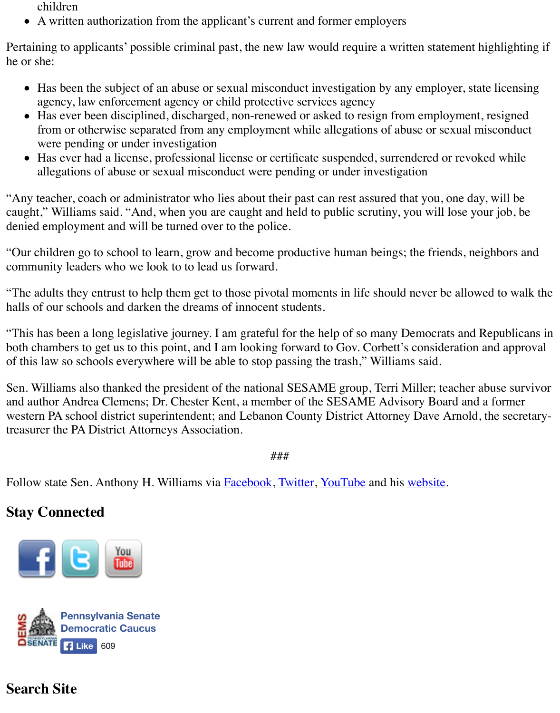- agency, law enforcement agency or child protective services agency
- Has ever been disciplined, discharged, non-renewed or asked to resign from employmen from or otherwise separated from any employment while allegations of abuse or sexual misconductors. were pending or under investigation
- Has ever had a license, professional license or certificate suspended, surrendered or revo allegations of abuse or sexual misconduct were pending or under investigation

"Any teacher, coach or administrator who lies about their past can rest assured that you, one day caught," Williams said. "And, when you are caught and held to public scrutiny, you will lose y denied employment and will be turned over to the police.

"Our children go to school to learn, grow and become productive human beings; the friends, ne community leaders who we look to to lead us forward.

"The adults they entrust to help them get to those pivotal moments in life should never be allow halls of our schools and darken the dreams of innocent students.

"This has been a long legislative journey. I am grateful for the help of so many Democrats and both chambers to get us to this point, and I am looking forward to Gov. Corbett's consideration of this law so schools everywhere will be able to stop passing the trash," Williams said.

Sen. Williams also thanked the president of the national SESAME group, Terri Miller; teacher and author Andrea Clemens; Dr. Chester Kent, a member of the SESAME Advisory Board and western PA school district superintendent; and Lebanon County District Attorney Dave Arnold treasurer the PA District Attorneys Association.

###

Follow state Sen. Anthony H. Williams via **Facebook**, Twitter, YouTube and his website.

## **Stay Connected**





## **Search Site**